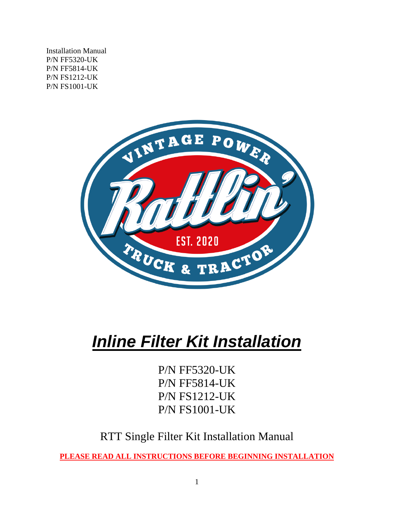Installation Manual P/N FF5320-UK P/N FF5814-UK P/N FS1212-UK P/N FS1001-UK



# *Inline Filter Kit Installation*

P/N FF5320-UK P/N FF5814-UK P/N FS1212-UK P/N FS1001-UK

RTT Single Filter Kit Installation Manual

**PLEASE READ ALL INSTRUCTIONS BEFORE BEGINNING INSTALLATION**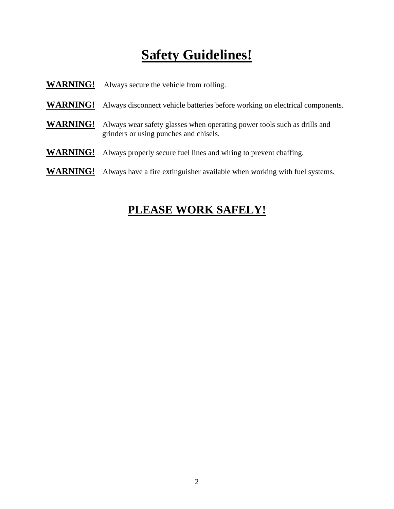## **Safety Guidelines!**

| <b>WARNING!</b> | Always secure the vehicle from rolling.                                                                            |
|-----------------|--------------------------------------------------------------------------------------------------------------------|
| <b>WARNING!</b> | Always disconnect vehicle batteries before working on electrical components.                                       |
| <b>WARNING!</b> | Always wear safety glasses when operating power tools such as drills and<br>grinders or using punches and chisels. |
| <b>WARNING!</b> | Always properly secure fuel lines and wiring to prevent chaffing.                                                  |
| <b>WARNING!</b> | Always have a fire extinguisher available when working with fuel systems.                                          |

## **PLEASE WORK SAFELY!**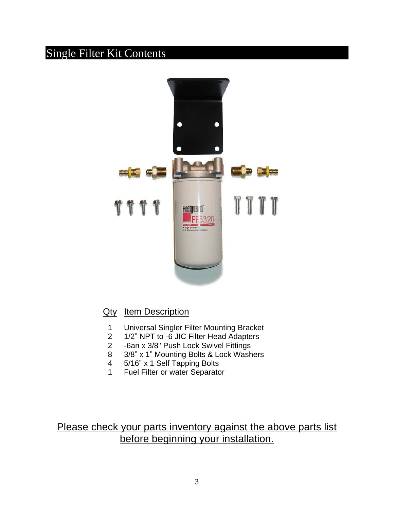## Single Filter Kit Contents



### Qty Item Description

- 1 Universal Singler Filter Mounting Bracket
- 2 1/2" NPT to -6 JIC Filter Head Adapters
- 2 -6an x 3/8" Push Lock Swivel Fittings
- 8 3/8" x 1" Mounting Bolts & Lock Washers
- 4 5/16" x 1 Self Tapping Bolts
- 1 Fuel Filter or water Separator

Please check your parts inventory against the above parts list before beginning your installation.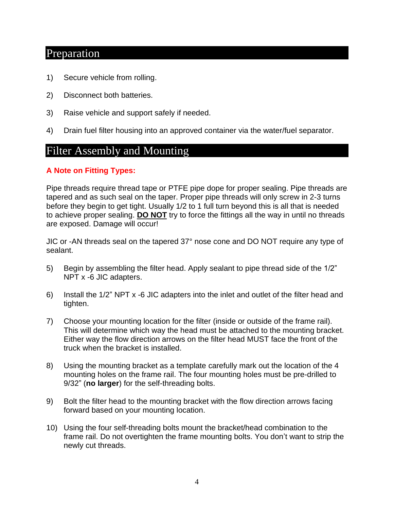## Preparation

- 1) Secure vehicle from rolling.
- 2) Disconnect both batteries.
- 3) Raise vehicle and support safely if needed.
- 4) Drain fuel filter housing into an approved container via the water/fuel separator.

### Filter Assembly and Mounting

#### **A Note on Fitting Types:**

Pipe threads require thread tape or PTFE pipe dope for proper sealing. Pipe threads are tapered and as such seal on the taper. Proper pipe threads will only screw in 2-3 turns before they begin to get tight. Usually 1/2 to 1 full turn beyond this is all that is needed to achieve proper sealing. **DO NOT** try to force the fittings all the way in until no threads are exposed. Damage will occur!

JIC or -AN threads seal on the tapered 37° nose cone and DO NOT require any type of sealant.

- 5) Begin by assembling the filter head. Apply sealant to pipe thread side of the 1/2" NPT x -6 JIC adapters.
- 6) Install the 1/2" NPT x -6 JIC adapters into the inlet and outlet of the filter head and tighten.
- 7) Choose your mounting location for the filter (inside or outside of the frame rail). This will determine which way the head must be attached to the mounting bracket. Either way the flow direction arrows on the filter head MUST face the front of the truck when the bracket is installed.
- 8) Using the mounting bracket as a template carefully mark out the location of the 4 mounting holes on the frame rail. The four mounting holes must be pre-drilled to 9/32" (**no larger**) for the self-threading bolts.
- 9) Bolt the filter head to the mounting bracket with the flow direction arrows facing forward based on your mounting location.
- 10) Using the four self-threading bolts mount the bracket/head combination to the frame rail. Do not overtighten the frame mounting bolts. You don't want to strip the newly cut threads.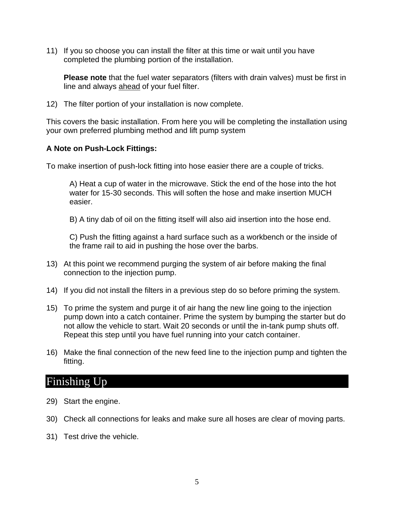11) If you so choose you can install the filter at this time or wait until you have completed the plumbing portion of the installation.

**Please note** that the fuel water separators (filters with drain valves) must be first in line and always ahead of your fuel filter.

12) The filter portion of your installation is now complete.

This covers the basic installation. From here you will be completing the installation using your own preferred plumbing method and lift pump system

#### **A Note on Push-Lock Fittings:**

To make insertion of push-lock fitting into hose easier there are a couple of tricks.

A) Heat a cup of water in the microwave. Stick the end of the hose into the hot water for 15-30 seconds. This will soften the hose and make insertion MUCH easier.

B) A tiny dab of oil on the fitting itself will also aid insertion into the hose end.

C) Push the fitting against a hard surface such as a workbench or the inside of the frame rail to aid in pushing the hose over the barbs.

- 13) At this point we recommend purging the system of air before making the final connection to the injection pump.
- 14) If you did not install the filters in a previous step do so before priming the system.
- 15) To prime the system and purge it of air hang the new line going to the injection pump down into a catch container. Prime the system by bumping the starter but do not allow the vehicle to start. Wait 20 seconds or until the in-tank pump shuts off. Repeat this step until you have fuel running into your catch container.
- 16) Make the final connection of the new feed line to the injection pump and tighten the fitting.

## Finishing Up

- 29) Start the engine.
- 30) Check all connections for leaks and make sure all hoses are clear of moving parts.
- 31) Test drive the vehicle.